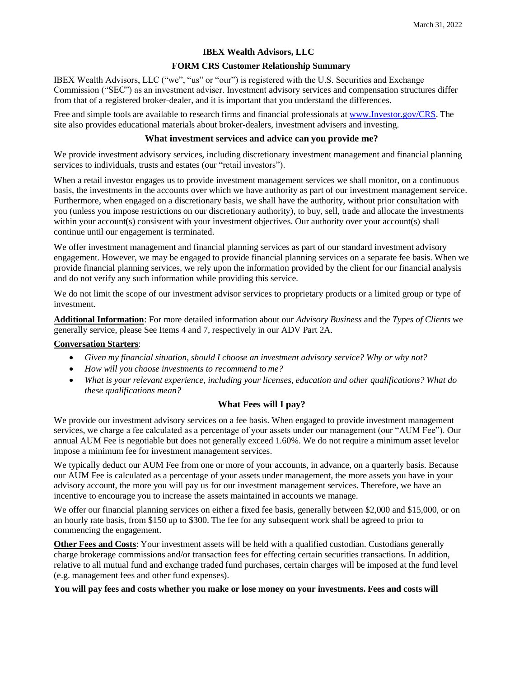# **IBEX Wealth Advisors, LLC**

## **FORM CRS Customer Relationship Summary**

IBEX Wealth Advisors, LLC ("we", "us" or "our") is registered with the U.S. Securities and Exchange Commission ("SEC") as an investment adviser. Investment advisory services and compensation structures differ from that of a registered broker-dealer, and it is important that you understand the differences.

Free and simple tools are available to research firms and financial professionals at [www.Investor.gov/CRS.](http://www.investor.gov/CRS) The site also provides educational materials about broker-dealers, investment advisers and investing.

## **What investment services and advice can you provide me?**

We provide investment advisory services, including discretionary investment management and financial planning services to individuals, trusts and estates (our "retail investors").

When a retail investor engages us to provide investment management services we shall monitor, on a continuous basis, the investments in the accounts over which we have authority as part of our investment management service. Furthermore, when engaged on a discretionary basis, we shall have the authority, without prior consultation with you (unless you impose restrictions on our discretionary authority), to buy, sell, trade and allocate the investments within your account(s) consistent with your investment objectives. Our authority over your account(s) shall continue until our engagement is terminated.

We offer investment management and financial planning services as part of our standard investment advisory engagement. However, we may be engaged to provide financial planning services on a separate fee basis. When we provide financial planning services, we rely upon the information provided by the client for our financial analysis and do not verify any such information while providing this service.

We do not limit the scope of our investment advisor services to proprietary products or a limited group or type of investment.

**Additional Information**: For more detailed information about our *Advisory Business* and the *Types of Clients* we generally service, please See Items 4 and 7, respectively in our ADV Part 2A.

#### **Conversation Starters**:

- *Given my financial situation, should I choose an investment advisory service? Why or why not?*
- *How will you choose investments to recommend to me?*
- *What is your relevant experience, including your licenses, education and other qualifications? What do these qualifications mean?*

# **What Fees will I pay?**

We provide our investment advisory services on a fee basis. When engaged to provide investment management services, we charge a fee calculated as a percentage of your assets under our management (our "AUM Fee"). Our annual AUM Fee is negotiable but does not generally exceed 1.60%. We do not require a minimum asset levelor impose a minimum fee for investment management services.

We typically deduct our AUM Fee from one or more of your accounts, in advance, on a quarterly basis. Because our AUM Fee is calculated as a percentage of your assets under management, the more assets you have in your advisory account, the more you will pay us for our investment management services. Therefore, we have an incentive to encourage you to increase the assets maintained in accounts we manage.

We offer our financial planning services on either a fixed fee basis, generally between \$2,000 and \$15,000, or on an hourly rate basis, from \$150 up to \$300. The fee for any subsequent work shall be agreed to prior to commencing the engagement.

**Other Fees and Costs**: Your investment assets will be held with a qualified custodian. Custodians generally charge brokerage commissions and/or transaction fees for effecting certain securities transactions. In addition, relative to all mutual fund and exchange traded fund purchases, certain charges will be imposed at the fund level (e.g. management fees and other fund expenses).

#### You will pay fees and costs whether you make or lose money on your investments. Fees and costs will